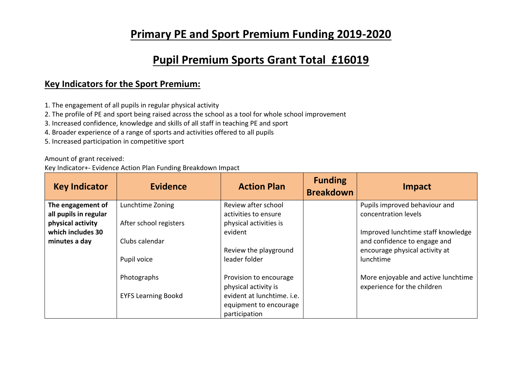## **Primary PE and Sport Premium Funding 2019-2020**

## **Pupil Premium Sports Grant Total £16019**

## **Key Indicators for the Sport Premium:**

- 1. The engagement of all pupils in regular physical activity
- 2. The profile of PE and sport being raised across the school as a tool for whole school improvement
- 3. Increased confidence, knowledge and skills of all staff in teaching PE and sport
- 4. Broader experience of a range of sports and activities offered to all pupils
- 5. Increased participation in competitive sport

Amount of grant received:

Key Indicator+- Evidence Action Plan Funding Breakdown Impact

| <b>Key Indicator</b>  | <b>Evidence</b>            | <b>Action Plan</b>         | <b>Funding</b><br><b>Breakdown</b> | Impact                              |
|-----------------------|----------------------------|----------------------------|------------------------------------|-------------------------------------|
| The engagement of     | Lunchtime Zoning           | Review after school        |                                    | Pupils improved behaviour and       |
| all pupils in regular |                            | activities to ensure       |                                    | concentration levels                |
| physical activity     | After school registers     | physical activities is     |                                    |                                     |
| which includes 30     |                            | evident                    |                                    | Improved lunchtime staff knowledge  |
| minutes a day         | Clubs calendar             |                            |                                    | and confidence to engage and        |
|                       |                            | Review the playground      |                                    | encourage physical activity at      |
|                       | Pupil voice                | leader folder              |                                    | lunchtime                           |
|                       | Photographs                | Provision to encourage     |                                    | More enjoyable and active lunchtime |
|                       |                            | physical activity is       |                                    | experience for the children         |
|                       | <b>EYFS Learning Bookd</b> | evident at lunchtime. i.e. |                                    |                                     |
|                       |                            | equipment to encourage     |                                    |                                     |
|                       |                            | participation              |                                    |                                     |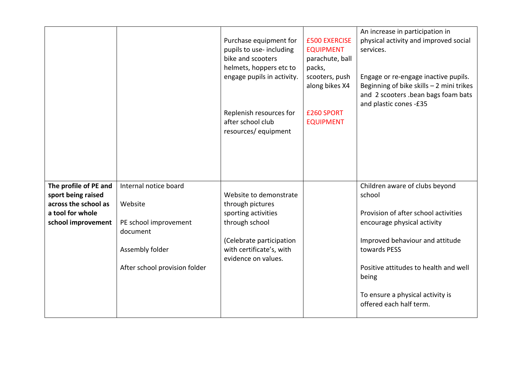|                                                                                                               |                                                                                                                           | Purchase equipment for<br>pupils to use-including<br>bike and scooters<br>helmets, hoppers etc to<br>engage pupils in activity.<br>Replenish resources for<br>after school club<br>resources/equipment | <b>£500 EXERCISE</b><br><b>EQUIPMENT</b><br>parachute, ball<br>packs,<br>scooters, push<br>along bikes X4<br>£260 SPORT<br><b>EQUIPMENT</b> | An increase in participation in<br>physical activity and improved social<br>services.<br>Engage or re-engage inactive pupils.<br>Beginning of bike skills $-2$ mini trikes<br>and 2 scooters .bean bags foam bats<br>and plastic cones -£35                                         |
|---------------------------------------------------------------------------------------------------------------|---------------------------------------------------------------------------------------------------------------------------|--------------------------------------------------------------------------------------------------------------------------------------------------------------------------------------------------------|---------------------------------------------------------------------------------------------------------------------------------------------|-------------------------------------------------------------------------------------------------------------------------------------------------------------------------------------------------------------------------------------------------------------------------------------|
| The profile of PE and<br>sport being raised<br>across the school as<br>a tool for whole<br>school improvement | Internal notice board<br>Website<br>PE school improvement<br>document<br>Assembly folder<br>After school provision folder | Website to demonstrate<br>through pictures<br>sporting activities<br>through school<br>(Celebrate participation<br>with certificate's, with<br>evidence on values.                                     |                                                                                                                                             | Children aware of clubs beyond<br>school<br>Provision of after school activities<br>encourage physical activity<br>Improved behaviour and attitude<br>towards PESS<br>Positive attitudes to health and well<br>being<br>To ensure a physical activity is<br>offered each half term. |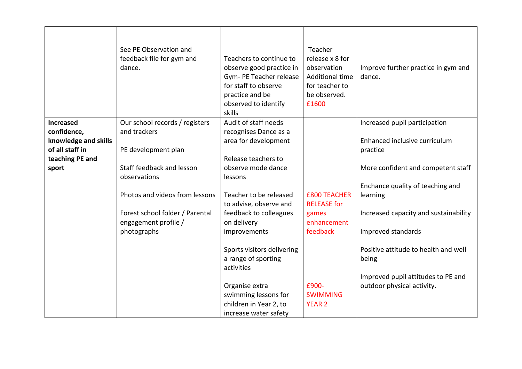|                                                                           | See PE Observation and<br>feedback file for gym and<br>dance. | Teachers to continue to<br>observe good practice in<br>Gym- PE Teacher release<br>for staff to observe<br>practice and be<br>observed to identify<br>skills | Teacher<br>release x 8 for<br>observation<br><b>Additional time</b><br>for teacher to<br>be observed.<br>£1600 | Improve further practice in gym and<br>dance.                    |
|---------------------------------------------------------------------------|---------------------------------------------------------------|-------------------------------------------------------------------------------------------------------------------------------------------------------------|----------------------------------------------------------------------------------------------------------------|------------------------------------------------------------------|
| <b>Increased</b>                                                          | Our school records / registers                                | Audit of staff needs                                                                                                                                        |                                                                                                                | Increased pupil participation                                    |
| confidence,<br>knowledge and skills<br>of all staff in<br>teaching PE and | and trackers<br>PE development plan                           | recognises Dance as a<br>area for development<br>Release teachers to                                                                                        |                                                                                                                | Enhanced inclusive curriculum<br>practice                        |
| sport                                                                     | Staff feedback and lesson                                     | observe mode dance                                                                                                                                          |                                                                                                                | More confident and competent staff                               |
|                                                                           | observations                                                  | lessons                                                                                                                                                     |                                                                                                                |                                                                  |
|                                                                           | Photos and videos from lessons                                | Teacher to be released<br>to advise, observe and                                                                                                            | <b>£800 TEACHER</b><br><b>RELEASE</b> for                                                                      | Enchance quality of teaching and<br>learning                     |
|                                                                           | Forest school folder / Parental                               | feedback to colleagues                                                                                                                                      | games                                                                                                          | Increased capacity and sustainability                            |
|                                                                           | engagement profile /                                          | on delivery                                                                                                                                                 | enhancement                                                                                                    |                                                                  |
|                                                                           | photographs                                                   | improvements                                                                                                                                                | feedback                                                                                                       | Improved standards                                               |
|                                                                           |                                                               | Sports visitors delivering<br>a range of sporting<br>activities                                                                                             |                                                                                                                | Positive attitude to health and well<br>being                    |
|                                                                           |                                                               | Organise extra<br>swimming lessons for                                                                                                                      | £900-<br><b>SWIMMING</b>                                                                                       | Improved pupil attitudes to PE and<br>outdoor physical activity. |
|                                                                           |                                                               | children in Year 2, to                                                                                                                                      | <b>YEAR 2</b>                                                                                                  |                                                                  |
|                                                                           |                                                               | increase water safety                                                                                                                                       |                                                                                                                |                                                                  |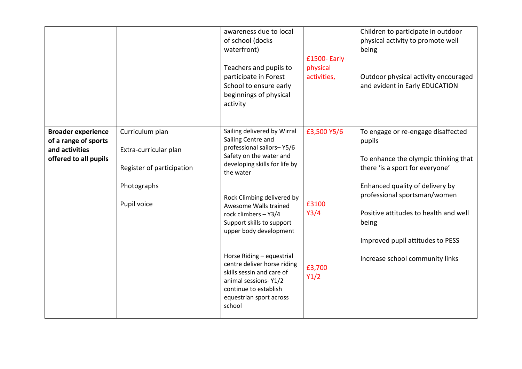|                                                                                              |                                                                                                     | awareness due to local<br>of school (docks<br>waterfront)<br>Teachers and pupils to<br>participate in Forest<br>School to ensure early<br>beginnings of physical<br>activity                                                                                                                                                                                                                                                                                                 | £1500- Early<br>physical<br>activities,        | Children to participate in outdoor<br>physical activity to promote well<br>being<br>Outdoor physical activity encouraged<br>and evident in Early EDUCATION                                                                                                                                                          |
|----------------------------------------------------------------------------------------------|-----------------------------------------------------------------------------------------------------|------------------------------------------------------------------------------------------------------------------------------------------------------------------------------------------------------------------------------------------------------------------------------------------------------------------------------------------------------------------------------------------------------------------------------------------------------------------------------|------------------------------------------------|---------------------------------------------------------------------------------------------------------------------------------------------------------------------------------------------------------------------------------------------------------------------------------------------------------------------|
| <b>Broader experience</b><br>of a range of sports<br>and activities<br>offered to all pupils | Curriculum plan<br>Extra-curricular plan<br>Register of participation<br>Photographs<br>Pupil voice | Sailing delivered by Wirral<br>Sailing Centre and<br>professional sailors-Y5/6<br>Safety on the water and<br>developing skills for life by<br>the water<br>Rock Climbing delivered by<br>Awesome Walls trained<br>rock climbers - Y3/4<br>Support skills to support<br>upper body development<br>Horse Riding - equestrial<br>centre deliver horse riding<br>skills sessin and care of<br>animal sessions-Y1/2<br>continue to establish<br>equestrian sport across<br>school | £3,500 Y5/6<br>£3100<br>Y3/4<br>£3,700<br>Y1/2 | To engage or re-engage disaffected<br>pupils<br>To enhance the olympic thinking that<br>there 'is a sport for everyone'<br>Enhanced quality of delivery by<br>professional sportsman/women<br>Positive attitudes to health and well<br>being<br>Improved pupil attitudes to PESS<br>Increase school community links |